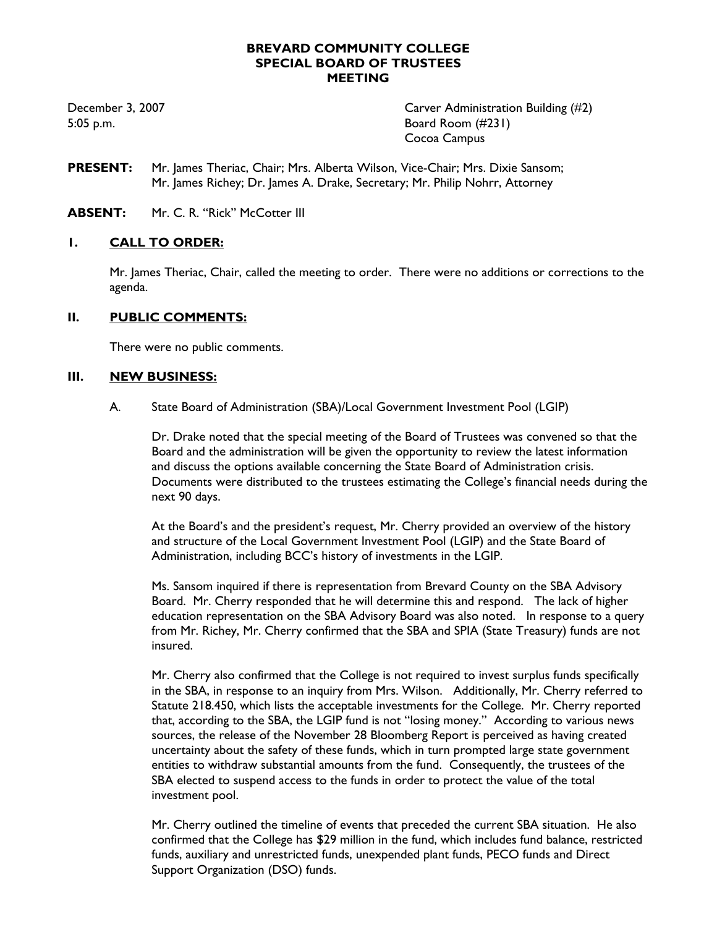### **BREVARD COMMUNITY COLLEGE SPECIAL BOARD OF TRUSTEES MEETING**

December 3, 2007 Carver Administration Building (#2) 5:05 p.m. Board Room (#231) Cocoa Campus

- **PRESENT:** Mr. James Theriac, Chair; Mrs. Alberta Wilson, Vice-Chair; Mrs. Dixie Sansom; Mr. James Richey; Dr. James A. Drake, Secretary; Mr. Philip Nohrr, Attorney
- **ABSENT:** Mr. C. R. "Rick" McCotter III

## **1. CALL TO ORDER:**

Mr. James Theriac, Chair, called the meeting to order. There were no additions or corrections to the agenda.

### **II. PUBLIC COMMENTS:**

There were no public comments.

## **III. NEW BUSINESS:**

A. State Board of Administration (SBA)/Local Government Investment Pool (LGIP)

Dr. Drake noted that the special meeting of the Board of Trustees was convened so that the Board and the administration will be given the opportunity to review the latest information and discuss the options available concerning the State Board of Administration crisis. Documents were distributed to the trustees estimating the College's financial needs during the next 90 days.

At the Board's and the president's request, Mr. Cherry provided an overview of the history and structure of the Local Government Investment Pool (LGIP) and the State Board of Administration, including BCC's history of investments in the LGIP.

Ms. Sansom inquired if there is representation from Brevard County on the SBA Advisory Board. Mr. Cherry responded that he will determine this and respond. The lack of higher education representation on the SBA Advisory Board was also noted. In response to a query from Mr. Richey, Mr. Cherry confirmed that the SBA and SPIA (State Treasury) funds are not insured.

Mr. Cherry also confirmed that the College is not required to invest surplus funds specifically in the SBA, in response to an inquiry from Mrs. Wilson. Additionally, Mr. Cherry referred to Statute 218.450, which lists the acceptable investments for the College. Mr. Cherry reported that, according to the SBA, the LGIP fund is not "losing money." According to various news sources, the release of the November 28 Bloomberg Report is perceived as having created uncertainty about the safety of these funds, which in turn prompted large state government entities to withdraw substantial amounts from the fund. Consequently, the trustees of the SBA elected to suspend access to the funds in order to protect the value of the total investment pool.

Mr. Cherry outlined the timeline of events that preceded the current SBA situation. He also confirmed that the College has \$29 million in the fund, which includes fund balance, restricted funds, auxiliary and unrestricted funds, unexpended plant funds, PECO funds and Direct Support Organization (DSO) funds.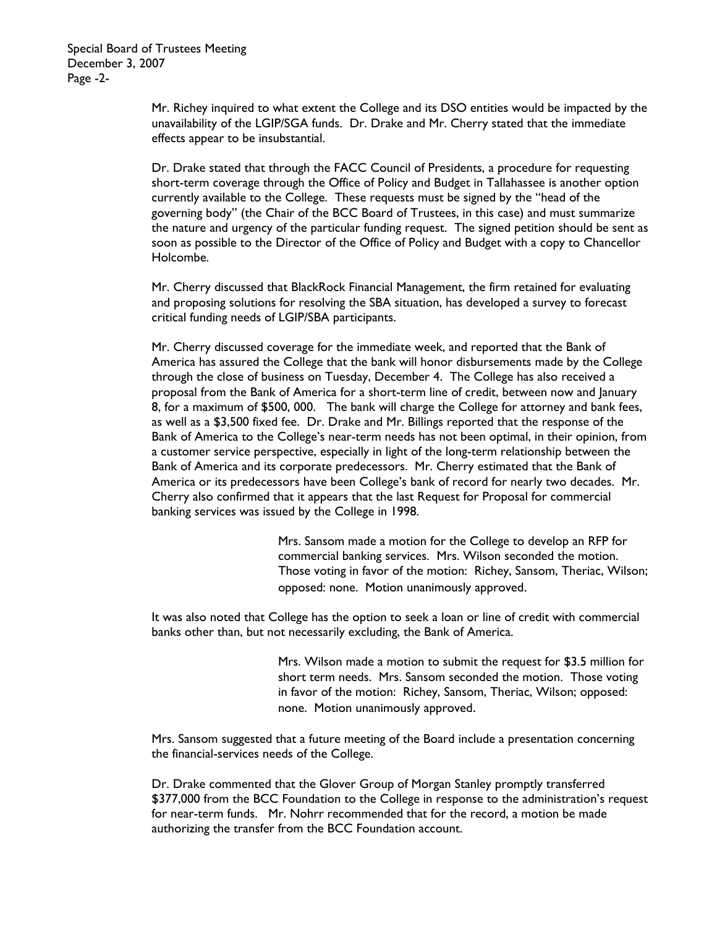Mr. Richey inquired to what extent the College and its DSO entities would be impacted by the unavailability of the LGIP/SGA funds. Dr. Drake and Mr. Cherry stated that the immediate effects appear to be insubstantial.

Dr. Drake stated that through the FACC Council of Presidents, a procedure for requesting short-term coverage through the Office of Policy and Budget in Tallahassee is another option currently available to the College. These requests must be signed by the "head of the governing body" (the Chair of the BCC Board of Trustees, in this case) and must summarize the nature and urgency of the particular funding request. The signed petition should be sent as soon as possible to the Director of the Office of Policy and Budget with a copy to Chancellor Holcombe.

Mr. Cherry discussed that BlackRock Financial Management, the firm retained for evaluating and proposing solutions for resolving the SBA situation, has developed a survey to forecast critical funding needs of LGIP/SBA participants.

Mr. Cherry discussed coverage for the immediate week, and reported that the Bank of America has assured the College that the bank will honor disbursements made by the College through the close of business on Tuesday, December 4. The College has also received a proposal from the Bank of America for a short-term line of credit, between now and January 8, for a maximum of \$500, 000. The bank will charge the College for attorney and bank fees, as well as a \$3,500 fixed fee. Dr. Drake and Mr. Billings reported that the response of the Bank of America to the College's near-term needs has not been optimal, in their opinion, from a customer service perspective, especially in light of the long-term relationship between the Bank of America and its corporate predecessors. Mr. Cherry estimated that the Bank of America or its predecessors have been College's bank of record for nearly two decades. Mr. Cherry also confirmed that it appears that the last Request for Proposal for commercial banking services was issued by the College in 1998.

> Mrs. Sansom made a motion for the College to develop an RFP for commercial banking services. Mrs. Wilson seconded the motion. Those voting in favor of the motion: Richey, Sansom, Theriac, Wilson; opposed: none. Motion unanimously approved.

It was also noted that College has the option to seek a loan or line of credit with commercial banks other than, but not necessarily excluding, the Bank of America.

> Mrs. Wilson made a motion to submit the request for \$3.5 million for short term needs. Mrs. Sansom seconded the motion. Those voting in favor of the motion: Richey, Sansom, Theriac, Wilson; opposed: none. Motion unanimously approved.

Mrs. Sansom suggested that a future meeting of the Board include a presentation concerning the financial-services needs of the College.

Dr. Drake commented that the Glover Group of Morgan Stanley promptly transferred \$377,000 from the BCC Foundation to the College in response to the administration's request for near-term funds. Mr. Nohrr recommended that for the record, a motion be made authorizing the transfer from the BCC Foundation account.